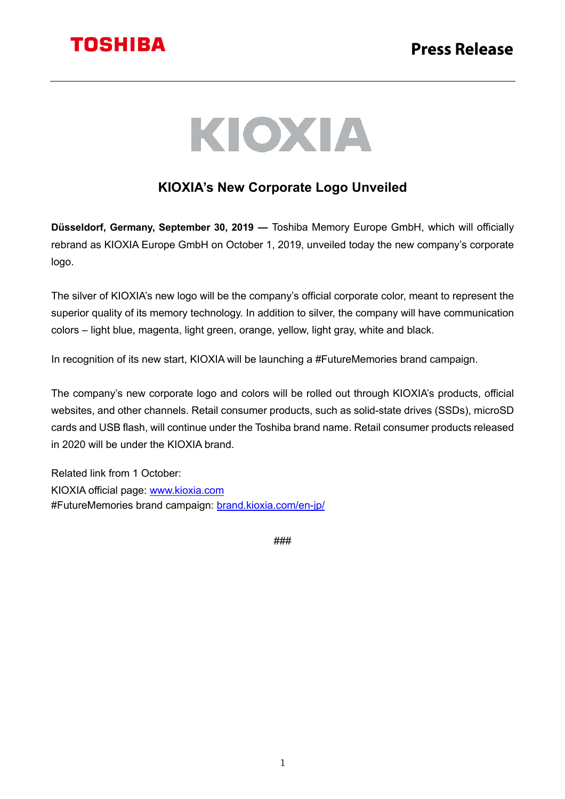

# KIOXIA

### **KIOXIA's New Corporate Logo Unveiled**

**Düsseldorf, Germany, September 30, 2019 ―** Toshiba Memory Europe GmbH, which will officially rebrand as KIOXIA Europe GmbH on October 1, 2019, unveiled today the new company's corporate logo.

The silver of KIOXIA's new logo will be the company's official corporate color, meant to represent the superior quality of its memory technology. In addition to silver, the company will have communication colors – light blue, magenta, light green, orange, yellow, light gray, white and black.

In recognition of its new start, KIOXIA will be launching a #FutureMemories brand campaign.

The company's new corporate logo and colors will be rolled out through KIOXIA's products, official websites, and other channels. Retail consumer products, such as solid-state drives (SSDs), microSD cards and USB flash, will continue under the Toshiba brand name. Retail consumer products released in 2020 will be under the KIOXIA brand.

Related link from 1 October: KIOXIA official page: www.kioxia.com #FutureMemories brand campaign: brand.kioxia.com/en-jp/

###